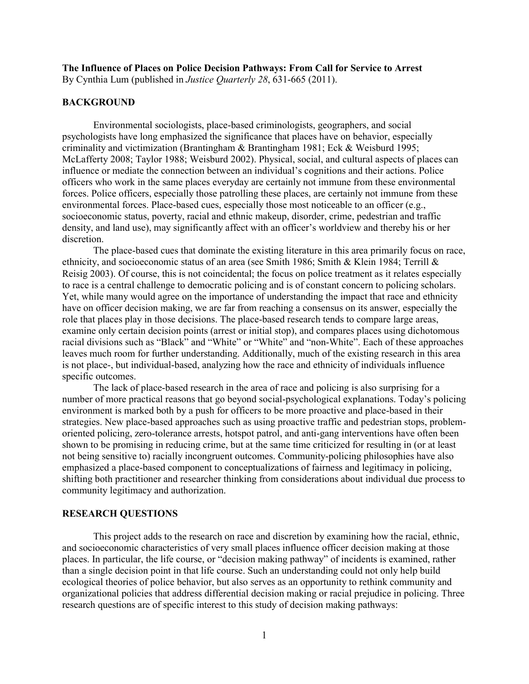## **The Influence of Places on Police Decision Pathways: From Call for Service to Arrest**

By Cynthia Lum (published in *Justice Quarterly 28*, 631-665 (2011).

## **BACKGROUND**

Environmental sociologists, place-based criminologists, geographers, and social psychologists have long emphasized the significance that places have on behavior, especially criminality and victimization (Brantingham & Brantingham 1981; Eck & Weisburd 1995; McLafferty 2008; Taylor 1988; Weisburd 2002). Physical, social, and cultural aspects of places can influence or mediate the connection between an individual's cognitions and their actions. Police officers who work in the same places everyday are certainly not immune from these environmental forces. Police officers, especially those patrolling these places, are certainly not immune from these environmental forces. Place-based cues, especially those most noticeable to an officer (e.g., socioeconomic status, poverty, racial and ethnic makeup, disorder, crime, pedestrian and traffic density, and land use), may significantly affect with an officer's worldview and thereby his or her discretion.

The place-based cues that dominate the existing literature in this area primarily focus on race, ethnicity, and socioeconomic status of an area (see Smith 1986; Smith & Klein 1984; Terrill  $\&$ Reisig 2003). Of course, this is not coincidental; the focus on police treatment as it relates especially to race is a central challenge to democratic policing and is of constant concern to policing scholars. Yet, while many would agree on the importance of understanding the impact that race and ethnicity have on officer decision making, we are far from reaching a consensus on its answer, especially the role that places play in those decisions. The place-based research tends to compare large areas, examine only certain decision points (arrest or initial stop), and compares places using dichotomous racial divisions such as "Black" and "White" or "White" and "non-White". Each of these approaches leaves much room for further understanding. Additionally, much of the existing research in this area is not place-, but individual-based, analyzing how the race and ethnicity of individuals influence specific outcomes.

The lack of place-based research in the area of race and policing is also surprising for a number of more practical reasons that go beyond social-psychological explanations. Today's policing environment is marked both by a push for officers to be more proactive and place-based in their strategies. New place-based approaches such as using proactive traffic and pedestrian stops, problemoriented policing, zero-tolerance arrests, hotspot patrol, and anti-gang interventions have often been shown to be promising in reducing crime, but at the same time criticized for resulting in (or at least not being sensitive to) racially incongruent outcomes. Community-policing philosophies have also emphasized a place-based component to conceptualizations of fairness and legitimacy in policing, shifting both practitioner and researcher thinking from considerations about individual due process to community legitimacy and authorization.

#### **RESEARCH QUESTIONS**

This project adds to the research on race and discretion by examining how the racial, ethnic, and socioeconomic characteristics of very small places influence officer decision making at those places. In particular, the life course, or "decision making pathway" of incidents is examined, rather than a single decision point in that life course. Such an understanding could not only help build ecological theories of police behavior, but also serves as an opportunity to rethink community and organizational policies that address differential decision making or racial prejudice in policing. Three research questions are of specific interest to this study of decision making pathways: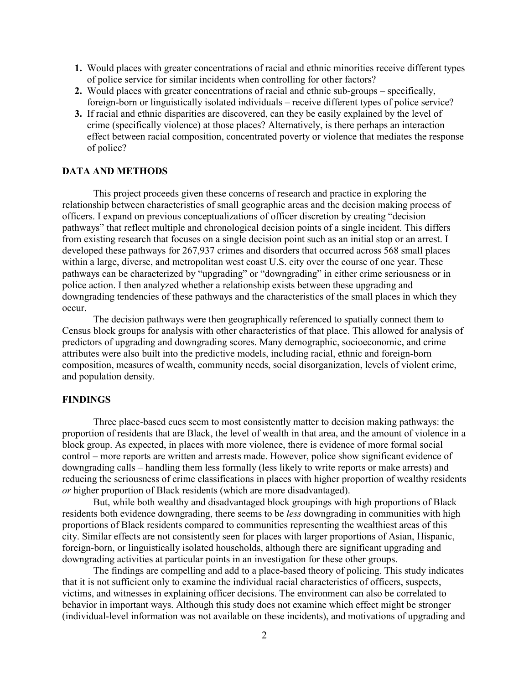- **1.** Would places with greater concentrations of racial and ethnic minorities receive different types of police service for similar incidents when controlling for other factors?
- **2.** Would places with greater concentrations of racial and ethnic sub-groups specifically, foreign-born or linguistically isolated individuals – receive different types of police service?
- **3.** If racial and ethnic disparities are discovered, can they be easily explained by the level of crime (specifically violence) at those places? Alternatively, is there perhaps an interaction effect between racial composition, concentrated poverty or violence that mediates the response of police?

## **DATA AND METHODS**

This project proceeds given these concerns of research and practice in exploring the relationship between characteristics of small geographic areas and the decision making process of officers. I expand on previous conceptualizations of officer discretion by creating "decision pathways" that reflect multiple and chronological decision points of a single incident. This differs from existing research that focuses on a single decision point such as an initial stop or an arrest. I developed these pathways for 267,937 crimes and disorders that occurred across 568 small places within a large, diverse, and metropolitan west coast U.S. city over the course of one year. These pathways can be characterized by "upgrading" or "downgrading" in either crime seriousness or in police action. I then analyzed whether a relationship exists between these upgrading and downgrading tendencies of these pathways and the characteristics of the small places in which they occur.

The decision pathways were then geographically referenced to spatially connect them to Census block groups for analysis with other characteristics of that place. This allowed for analysis of predictors of upgrading and downgrading scores. Many demographic, socioeconomic, and crime attributes were also built into the predictive models, including racial, ethnic and foreign-born composition, measures of wealth, community needs, social disorganization, levels of violent crime, and population density.

# **FINDINGS**

Three place-based cues seem to most consistently matter to decision making pathways: the proportion of residents that are Black, the level of wealth in that area, and the amount of violence in a block group. As expected, in places with more violence, there is evidence of more formal social control – more reports are written and arrests made. However, police show significant evidence of downgrading calls – handling them less formally (less likely to write reports or make arrests) and reducing the seriousness of crime classifications in places with higher proportion of wealthy residents *or* higher proportion of Black residents (which are more disadvantaged).

But, while both wealthy and disadvantaged block groupings with high proportions of Black residents both evidence downgrading, there seems to be *less* downgrading in communities with high proportions of Black residents compared to communities representing the wealthiest areas of this city. Similar effects are not consistently seen for places with larger proportions of Asian, Hispanic, foreign-born, or linguistically isolated households, although there are significant upgrading and downgrading activities at particular points in an investigation for these other groups.

The findings are compelling and add to a place-based theory of policing. This study indicates that it is not sufficient only to examine the individual racial characteristics of officers, suspects, victims, and witnesses in explaining officer decisions. The environment can also be correlated to behavior in important ways. Although this study does not examine which effect might be stronger (individual-level information was not available on these incidents), and motivations of upgrading and